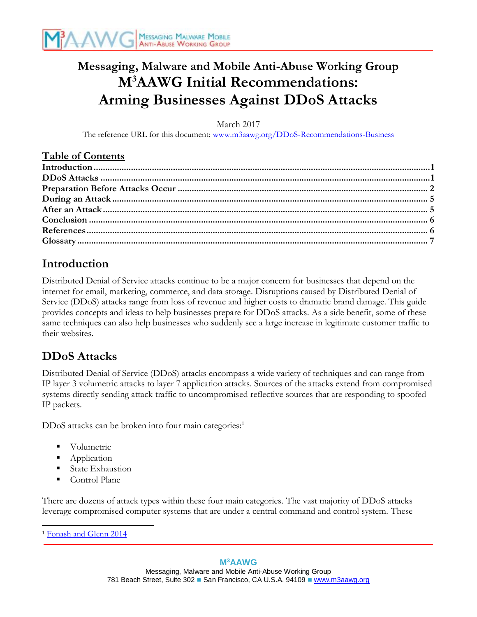

# **Messaging, Malware and Mobile Anti-Abuse Working Group M<sup>3</sup>AAWG Initial Recommendations: Arming Businesses Against DDoS Attacks**

March 2017

The reference URL for this document: [www.m3aawg.org/DDoS-Recommendations-Business](http://www.m3aawg.org/DDoS-Recommendations-Business) 

#### **Table of Contents**

### <span id="page-0-0"></span>**Introduction**

Distributed Denial of Service attacks continue to be a major concern for businesses that depend on the internet for email, marketing, commerce, and data storage. Disruptions caused by Distributed Denial of Service (DDoS) attacks range from loss of revenue and higher costs to dramatic brand damage. This guide provides concepts and ideas to help businesses prepare for DDoS attacks. As a side benefit, some of these same techniques can also help businesses who suddenly see a large increase in legitimate customer traffic to their websites.

### <span id="page-0-1"></span>**DDoS Attacks**

Distributed Denial of Service (DDoS) attacks encompass a wide variety of techniques and can range from IP layer 3 volumetric attacks to layer 7 application attacks. Sources of the attacks extend from compromised systems directly sending attack traffic to uncompromised reflective sources that are responding to spoofed IP packets.

DDoS attacks can be broken into four main categories: 1

- **Volumetric**
- Application
- **State Exhaustion**
- Control Plane

There are dozens of attack types within these four main categories. The vast majority of DDoS attacks leverage compromised computer systems that are under a central command and control system. These

 <sup>1</sup> [Fonash and Glenn](#page-5-0) 2014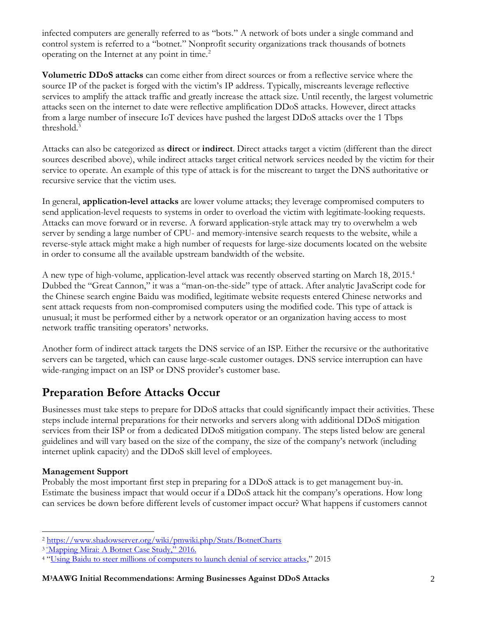infected computers are generally referred to as "bots." A network of bots under a single command and control system is referred to a "botnet." Nonprofit security organizations track thousands of botnets operating on the Internet at any point in time. 2

**Volumetric DDoS attacks** can come either from direct sources or from a reflective service where the source IP of the packet is forged with the victim's IP address. Typically, miscreants leverage reflective services to amplify the attack traffic and greatly increase the attack size. Until recently, the largest volumetric attacks seen on the internet to date were reflective amplification DDoS attacks. However, direct attacks from a large number of insecure IoT devices have pushed the largest DDoS attacks over the 1 Tbps threshold.<sup>3</sup>

Attacks can also be categorized as **direct** or **indirect**. Direct attacks target a victim (different than the direct sources described above), while indirect attacks target critical network services needed by the victim for their service to operate. An example of this type of attack is for the miscreant to target the DNS authoritative or recursive service that the victim uses.

In general, **application-level attacks** are lower volume attacks; they leverage compromised computers to send application-level requests to systems in order to overload the victim with legitimate-looking requests. Attacks can move forward or in reverse. A forward application-style attack may try to overwhelm a web server by sending a large number of CPU- and memory-intensive search requests to the website, while a reverse-style attack might make a high number of requests for large-size documents located on the website in order to consume all the available upstream bandwidth of the website.

A new type of high-volume, application-level attack was recently observed starting on March 18, 2015. 4 Dubbed the "Great Cannon," it was a "man-on-the-side" type of attack. After analytic JavaScript code for the Chinese search engine Baidu was modified, legitimate website requests entered Chinese networks and sent attack requests from non-compromised computers using the modified code. This type of attack is unusual; it must be performed either by a network operator or an organization having access to most network traffic transiting operators' networks.

Another form of indirect attack targets the DNS service of an ISP. Either the recursive or the authoritative servers can be targeted, which can cause large-scale customer outages. DNS service interruption can have wide-ranging impact on an ISP or DNS provider's customer base.

### <span id="page-1-0"></span>**Preparation Before Attacks Occur**

Businesses must take steps to prepare for DDoS attacks that could significantly impact their activities. These steps include internal preparations for their networks and servers along with additional DDoS mitigation services from their ISP or from a dedicated DDoS mitigation company. The steps listed below are general guidelines and will vary based on the size of the company, the size of the company's network (including internet uplink capacity) and the DDoS skill level of employees.

#### **Management Support**

Probably the most important first step in preparing for a DDoS attack is to get management buy-in. Estimate the business impact that would occur if a DDoS attack hit the company's operations. How long can services be down before different levels of customer impact occur? What happens if customers cannot

l <sup>2</sup> <https://www.shadowserver.org/wiki/pmwiki.php/Stats/BotnetCharts>

<sup>&</sup>lt;sup>3</sup> "Mapping Mirai: [A Botnet Case Study,](#page-5-2)" 2016.

<sup>&</sup>lt;sup>4</sup> "[Using Baidu to steer millions of computers to launch denial of service attacks](https://drive.google.com/file/d/0ByrxblDXR_yqeUNZYU5WcjFCbXM/view?pli=1.)," 2015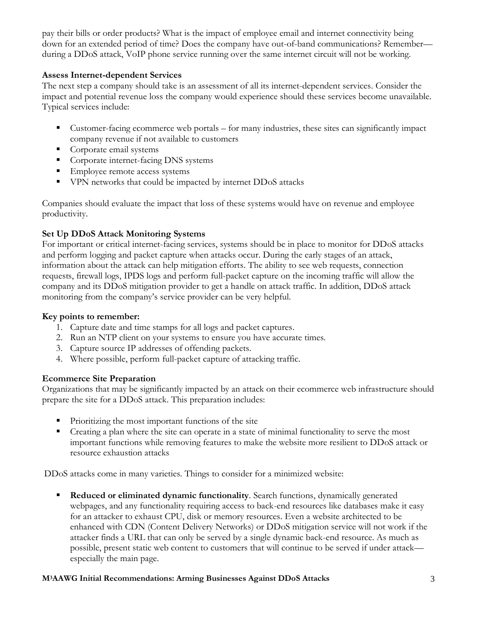pay their bills or order products? What is the impact of employee email and internet connectivity being down for an extended period of time? Does the company have out-of-band communications? Remember during a DDoS attack, VoIP phone service running over the same internet circuit will not be working.

#### **Assess Internet-dependent Services**

The next step a company should take is an assessment of all its internet-dependent services. Consider the impact and potential revenue loss the company would experience should these services become unavailable. Typical services include:

- Customer-facing ecommerce web portals for many industries, these sites can significantly impact company revenue if not available to customers
- **•** Corporate email systems
- Corporate internet-facing DNS systems
- **Employee remote access systems**
- VPN networks that could be impacted by internet DDoS attacks

Companies should evaluate the impact that loss of these systems would have on revenue and employee productivity.

#### **Set Up DDoS Attack Monitoring Systems**

For important or critical internet-facing services, systems should be in place to monitor for DDoS attacks and perform logging and packet capture when attacks occur. During the early stages of an attack, information about the attack can help mitigation efforts. The ability to see web requests, connection requests, firewall logs, IPDS logs and perform full-packet capture on the incoming traffic will allow the company and its DDoS mitigation provider to get a handle on attack traffic. In addition, DDoS attack monitoring from the company's service provider can be very helpful.

#### **Key points to remember:**

- 1. Capture date and time stamps for all logs and packet captures.
- 2. Run an NTP client on your systems to ensure you have accurate times.
- 3. Capture source IP addresses of offending packets.
- 4. Where possible, perform full-packet capture of attacking traffic.

#### **Ecommerce Site Preparation**

Organizations that may be significantly impacted by an attack on their ecommerce web infrastructure should prepare the site for a DDoS attack. This preparation includes:

- Prioritizing the most important functions of the site
- Creating a plan where the site can operate in a state of minimal functionality to serve the most important functions while removing features to make the website more resilient to DDoS attack or resource exhaustion attacks

DDoS attacks come in many varieties. Things to consider for a minimized website:

**EXED Reduced or eliminated dynamic functionality**. Search functions, dynamically generated webpages, and any functionality requiring access to back-end resources like databases make it easy for an attacker to exhaust CPU, disk or memory resources. Even a website architected to be enhanced with CDN (Content Delivery Networks) or DDoS mitigation service will not work if the attacker finds a URL that can only be served by a single dynamic back-end resource. As much as possible, present static web content to customers that will continue to be served if under attack especially the main page.

#### **M3AAWG Initial Recommendations: Arming Businesses Against DDoS Attacks** 3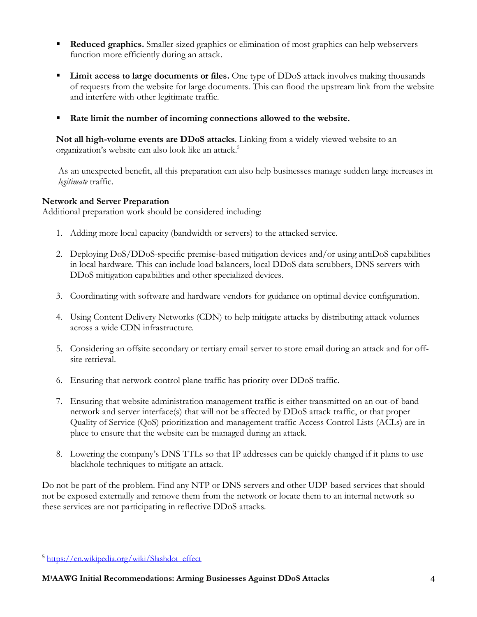- **Reduced graphics.** Smaller-sized graphics or elimination of most graphics can help webservers function more efficiently during an attack.
- **EXECUTE:** Limit access to large documents or files. One type of DDoS attack involves making thousands of requests from the website for large documents. This can flood the upstream link from the website and interfere with other legitimate traffic.
- Rate limit the number of incoming connections allowed to the website.

**Not all high-volume events are DDoS attacks**. Linking from a widely-viewed website to an organization's website can also look like an attack.<sup>5</sup>

As an unexpected benefit, all this preparation can also help businesses manage sudden large increases in *legitimate* traffic.

#### **Network and Server Preparation**

Additional preparation work should be considered including:

- 1. Adding more local capacity (bandwidth or servers) to the attacked service.
- 2. Deploying DoS/DDoS-specific premise-based mitigation devices and/or using antiDoS capabilities in local hardware. This can include load balancers, local DDoS data scrubbers, DNS servers with DDoS mitigation capabilities and other specialized devices.
- 3. Coordinating with software and hardware vendors for guidance on optimal device configuration.
- 4. Using Content Delivery Networks (CDN) to help mitigate attacks by distributing attack volumes across a wide CDN infrastructure.
- 5. Considering an offsite secondary or tertiary email server to store email during an attack and for offsite retrieval.
- 6. Ensuring that network control plane traffic has priority over DDoS traffic.
- 7. Ensuring that website administration management traffic is either transmitted on an out-of-band network and server interface(s) that will not be affected by DDoS attack traffic, or that proper Quality of Service (QoS) prioritization and management traffic Access Control Lists (ACLs) are in place to ensure that the website can be managed during an attack.
- 8. Lowering the company's DNS TTLs so that IP addresses can be quickly changed if it plans to use blackhole techniques to mitigate an attack.

Do not be part of the problem. Find any NTP or DNS servers and other UDP-based services that should not be exposed externally and remove them from the network or locate them to an internal network so these services are not participating in reflective DDoS attacks.

l

<sup>5</sup> [https://en.wikipedia.org/wiki/Slashdot\\_effect](https://en.wikipedia.org/wiki/Slashdot_effect)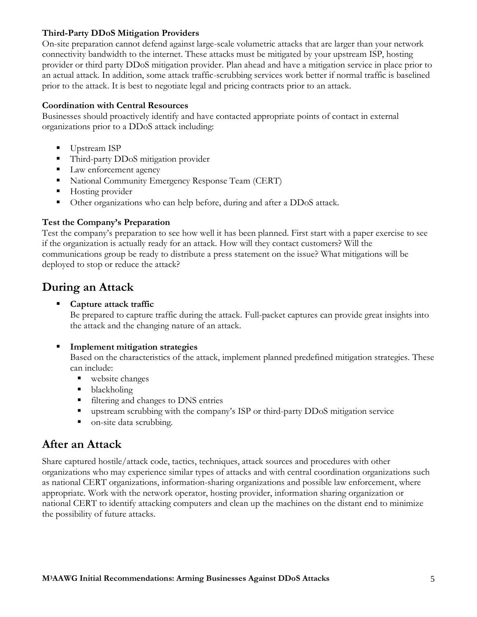#### **Third-Party DDoS Mitigation Providers**

On-site preparation cannot defend against large-scale volumetric attacks that are larger than your network connectivity bandwidth to the internet. These attacks must be mitigated by your upstream ISP, hosting provider or third party DDoS mitigation provider. Plan ahead and have a mitigation service in place prior to an actual attack. In addition, some attack traffic-scrubbing services work better if normal traffic is baselined prior to the attack. It is best to negotiate legal and pricing contracts prior to an attack.

#### **Coordination with Central Resources**

Businesses should proactively identify and have contacted appropriate points of contact in external organizations prior to a DDoS attack including:

- Upstream ISP
- Third-party DDoS mitigation provider
- Law enforcement agency
- National Community Emergency Response Team (CERT)
- Hosting provider
- Other organizations who can help before, during and after a DDoS attack.

#### **Test the Company's Preparation**

Test the company's preparation to see how well it has been planned. First start with a paper exercise to see if the organization is actually ready for an attack. How will they contact customers? Will the communications group be ready to distribute a press statement on the issue? What mitigations will be deployed to stop or reduce the attack?

### <span id="page-4-0"></span>**During an Attack**

#### ▪ **Capture attack traffic**

Be prepared to capture traffic during the attack. Full-packet captures can provide great insights into the attack and the changing nature of an attack.

#### **Implement mitigation strategies**

Based on the characteristics of the attack, implement planned predefined mitigation strategies. These can include:

- website changes
- blackholing
- filtering and changes to DNS entries
- upstream scrubbing with the company's ISP or third-party DDoS mitigation service
- on-site data scrubbing.

### <span id="page-4-1"></span>**After an Attack**

<span id="page-4-2"></span>Share captured hostile/attack code, tactics, techniques, attack sources and procedures with other organizations who may experience similar types of attacks and with central coordination organizations such as national CERT organizations, information-sharing organizations and possible law enforcement, where appropriate. Work with the network operator, hosting provider, information sharing organization or national CERT to identify attacking computers and clean up the machines on the distant end to minimize the possibility of future attacks.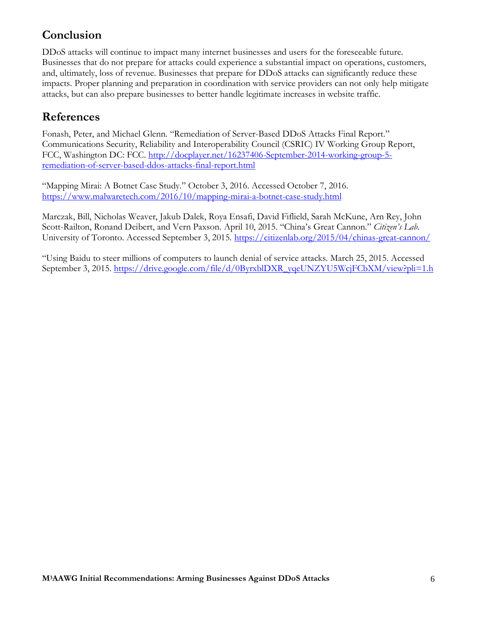## **Conclusion**

DDoS attacks will continue to impact many internet businesses and users for the foreseeable future. Businesses that do not prepare for attacks could experience a substantial impact on operations, customers, and, ultimately, loss of revenue. Businesses that prepare for DDoS attacks can significantly reduce these impacts. Proper planning and preparation in coordination with service providers can not only help mitigate attacks, but can also prepare businesses to better handle legitimate increases in website traffic.

### <span id="page-5-1"></span>**References**

<span id="page-5-0"></span>Fonash, Peter, and Michael Glenn. "Remediation of Server-Based DDoS Attacks Final Report." Communications Security, Reliability and Interoperability Council (CSRIC) IV Working Group Report, FCC, Washington DC: FCC. [http://docplayer.net/16237406-September-2014-working-group-5](http://docplayer.net/16237406-September-2014-working-group-5-remediation-of-server-based-ddos-attacks-final-report.html) [remediation-of-server-based-ddos-attacks-final-report.html](http://docplayer.net/16237406-September-2014-working-group-5-remediation-of-server-based-ddos-attacks-final-report.html)

<span id="page-5-2"></span>"Mapping Mirai: A Botnet Case Study." October 3, 2016. Accessed October 7, 2016. <https://www.malwaretech.com/2016/10/mapping-mirai-a-botnet-case-study.html>

Marczak, Bill, Nicholas Weaver, Jakub Dalek, Roya Ensafi, David Fiflield, Sarah McKune, Arn Rey, John Scott-Railton, Ronand Deibert, and Vern Paxson. April 10, 2015. "China's Great Cannon." *Citizen's Lab.* University of Toronto. Accessed September 3, 2015.<https://citizenlab.org/2015/04/chinas-great-cannon/>

"Using Baidu to steer millions of computers to launch denial of service attacks. March 25, 2015. Accessed September 3, 2015. [https://drive.google.com/file/d/0ByrxblDXR\\_yqeUNZYU5WcjFCbXM/view?pli=1.h](https://drive.google.com/file/d/0ByrxblDXR_yqeUNZYU5WcjFCbXM/view?pli=1.)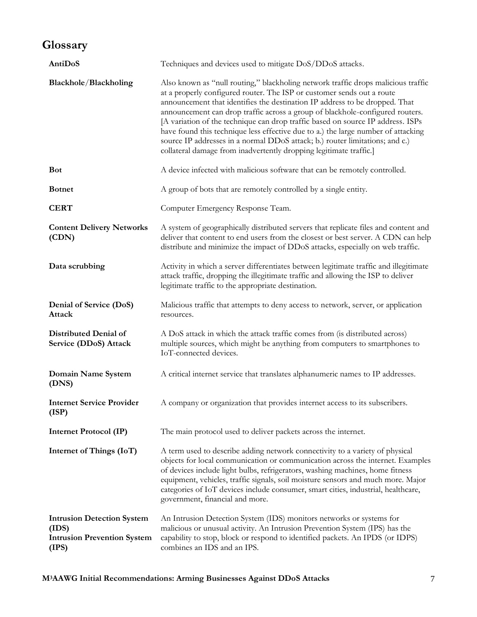## <span id="page-6-0"></span>**Glossary**

| AntiDoS                                                                                   | Techniques and devices used to mitigate DoS/DDoS attacks.                                                                                                                                                                                                                                                                                                                                                                                                                                                                                                                                                                                                 |
|-------------------------------------------------------------------------------------------|-----------------------------------------------------------------------------------------------------------------------------------------------------------------------------------------------------------------------------------------------------------------------------------------------------------------------------------------------------------------------------------------------------------------------------------------------------------------------------------------------------------------------------------------------------------------------------------------------------------------------------------------------------------|
| Blackhole/Blackholing                                                                     | Also known as "null routing," blackholing network traffic drops malicious traffic<br>at a properly configured router. The ISP or customer sends out a route<br>announcement that identifies the destination IP address to be dropped. That<br>announcement can drop traffic across a group of blackhole-configured routers.<br>[A variation of the technique can drop traffic based on source IP address. ISPs<br>have found this technique less effective due to a.) the large number of attacking<br>source IP addresses in a normal DDoS attack; b.) router limitations; and c.)<br>collateral damage from inadvertently dropping legitimate traffic.] |
| <b>Bot</b>                                                                                | A device infected with malicious software that can be remotely controlled.                                                                                                                                                                                                                                                                                                                                                                                                                                                                                                                                                                                |
| <b>Botnet</b>                                                                             | A group of bots that are remotely controlled by a single entity.                                                                                                                                                                                                                                                                                                                                                                                                                                                                                                                                                                                          |
| <b>CERT</b>                                                                               | Computer Emergency Response Team.                                                                                                                                                                                                                                                                                                                                                                                                                                                                                                                                                                                                                         |
| <b>Content Delivery Networks</b><br>(CDN)                                                 | A system of geographically distributed servers that replicate files and content and<br>deliver that content to end users from the closest or best server. A CDN can help<br>distribute and minimize the impact of DDoS attacks, especially on web traffic.                                                                                                                                                                                                                                                                                                                                                                                                |
| Data scrubbing                                                                            | Activity in which a server differentiates between legitimate traffic and illegitimate<br>attack traffic, dropping the illegitimate traffic and allowing the ISP to deliver<br>legitimate traffic to the appropriate destination.                                                                                                                                                                                                                                                                                                                                                                                                                          |
| Denial of Service (DoS)<br>Attack                                                         | Malicious traffic that attempts to deny access to network, server, or application<br>resources.                                                                                                                                                                                                                                                                                                                                                                                                                                                                                                                                                           |
| Distributed Denial of<br>Service (DDoS) Attack                                            | A DoS attack in which the attack traffic comes from (is distributed across)<br>multiple sources, which might be anything from computers to smartphones to<br>IoT-connected devices.                                                                                                                                                                                                                                                                                                                                                                                                                                                                       |
| Domain Name System<br>(DNS)                                                               | A critical internet service that translates alphanumeric names to IP addresses.                                                                                                                                                                                                                                                                                                                                                                                                                                                                                                                                                                           |
| <b>Internet Service Provider</b><br>(ISP)                                                 | A company or organization that provides internet access to its subscribers.                                                                                                                                                                                                                                                                                                                                                                                                                                                                                                                                                                               |
| <b>Internet Protocol (IP)</b>                                                             | The main protocol used to deliver packets across the internet.                                                                                                                                                                                                                                                                                                                                                                                                                                                                                                                                                                                            |
| Internet of Things (IoT)                                                                  | A term used to describe adding network connectivity to a variety of physical<br>objects for local communication or communication across the internet. Examples<br>of devices include light bulbs, refrigerators, washing machines, home fitness<br>equipment, vehicles, traffic signals, soil moisture sensors and much more. Major<br>categories of IoT devices include consumer, smart cities, industrial, healthcare,<br>government, financial and more.                                                                                                                                                                                               |
| <b>Intrusion Detection System</b><br>(IDS)<br><b>Intrusion Prevention System</b><br>(IPS) | An Intrusion Detection System (IDS) monitors networks or systems for<br>malicious or unusual activity. An Intrusion Prevention System (IPS) has the<br>capability to stop, block or respond to identified packets. An IPDS (or IDPS)<br>combines an IDS and an IPS.                                                                                                                                                                                                                                                                                                                                                                                       |